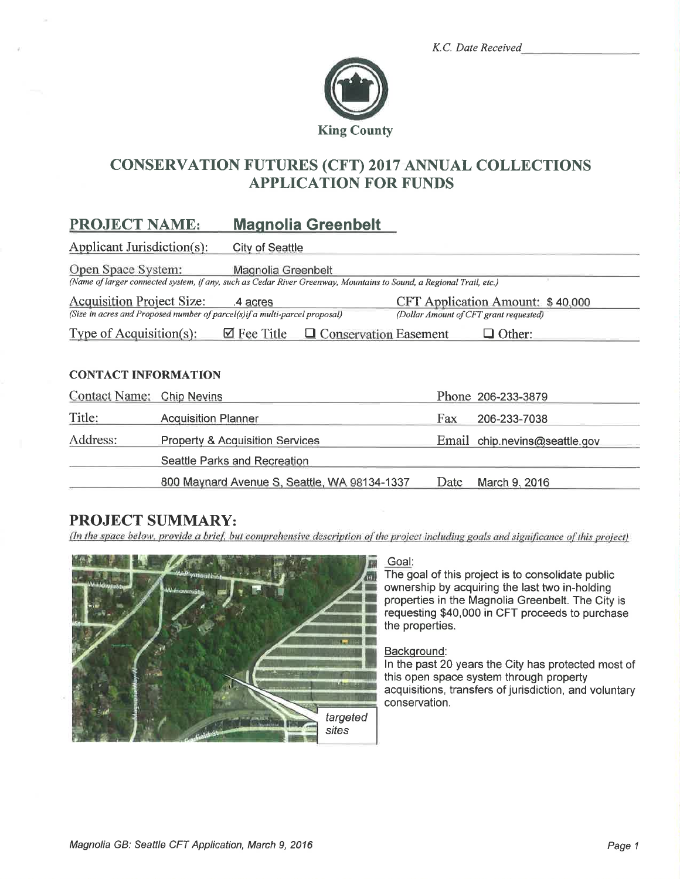|  | K.C. Date Received |
|--|--------------------|
|  |                    |



# **CONSERVATION FUTURES (CFT) 2017 ANNUAL COLLECTIONS APPLICATION FOR FUNDS**

#### **PROJECT NAME: Magnolia Greenbelt**

Applicant Jurisdiction(s): **City of Seattle** 

Open Space System: Magnolia Greenbelt

(Name of larger connected system, if any, such as Cedar River Greenway, Mountains to Sound, a Regional Trail, etc.)

**Acquisition Project Size:** CFT Application Amount: \$40,000 .4 acres (Size in acres and Proposed number of parcel(s)if a multi-parcel proposal) (Dollar Amount of CFT grant requested)

Type of Acquisition $(s)$ :  $\boxtimes$  Fee Title  $\Box$  Conservation Easement  $\Box$  Other:

### **CONTACT INFORMATION**

| Contact Name: Chip Nevins |                                              |      | Phone 206-233-3879            |
|---------------------------|----------------------------------------------|------|-------------------------------|
| Title:                    | <b>Acquisition Planner</b>                   | Fax  | 206-233-7038                  |
| Address:                  | <b>Property &amp; Acquisition Services</b>   |      | Email chip.nevins@seattle.gov |
|                           | Seattle Parks and Recreation                 |      |                               |
|                           | 800 Maynard Avenue S, Seattle, WA 98134-1337 | Date | March 9, 2016                 |

# **PROJECT SUMMARY:**

(In the space below, provide a brief, but comprehensive description of the project including goals and significance of this project)



### Goal:

The goal of this project is to consolidate public ownership by acquiring the last two in-holding properties in the Magnolia Greenbelt. The City is requesting \$40,000 in CFT proceeds to purchase the properties.

### Background:

In the past 20 years the City has protected most of this open space system through property acquisitions, transfers of jurisdiction, and voluntary conservation.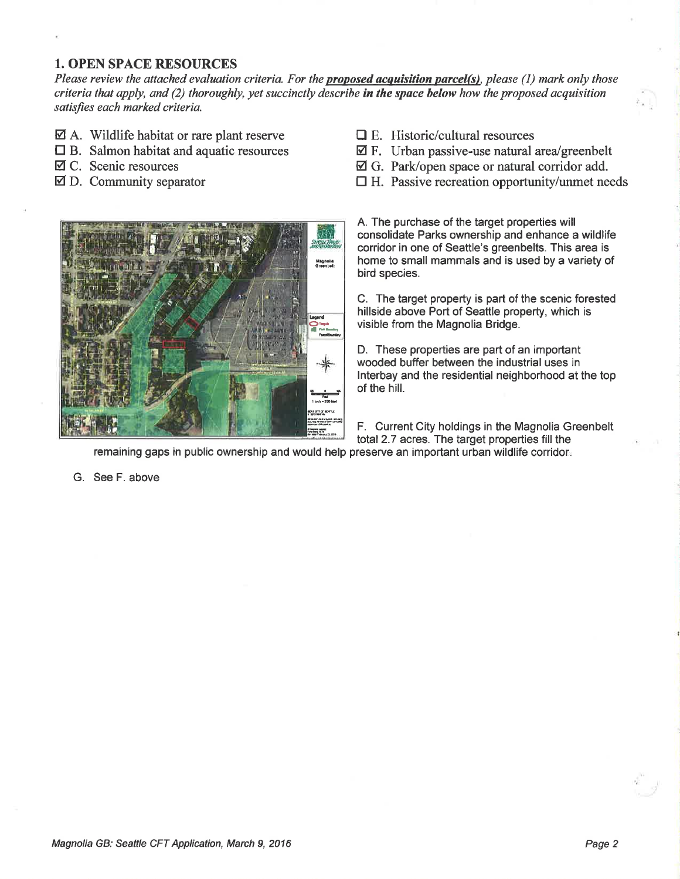### 1. OPEN SPACE RESOURCES

Please review the attached evaluation criteria. For the **proposed acquisition parcel(s)**, please (1) mark only those criteria that apply, and (2) thoroughly, yet succinctly describe in the space below how the proposed acquisition satisfies each marked criteria.

- $\boxtimes$  A. Wildlife habitat or rare plant reserve
- $\Box$  B. Salmon habitat and aquatic resources
- Ø C. Scenic resources
- $\boxtimes$  D. Community separator
- $\Box$  E. Historic/cultural resources
- $\boxtimes$  F. Urban passive-use natural area/greenbelt
- Ø G. Park/open space or natural conidor add.
- $\Box$  H. Passive recreation opportunity/unmet needs



A. The purchase of the target properties will consolidate Parks ownership and enhance a wildlife corridor in one of Seattle's greenbelts. This area is home to small mammals and is used by a variety of bird species.

C. The target property is part of the scenic forested hillside above Port of Seattle property, which is visible from the Magnolia Bridge.

D. These properties are part of an important wooded buffer between the industrial uses in lnterbay and the residential neighborhood at the top of the hill.

F. Current City holdings in the Magnolia Greenbelt total 2.7 acres. The target properties fill the

remaining gaps in public ownership and would help preserve an important urban wildlife corridor

G. See F. above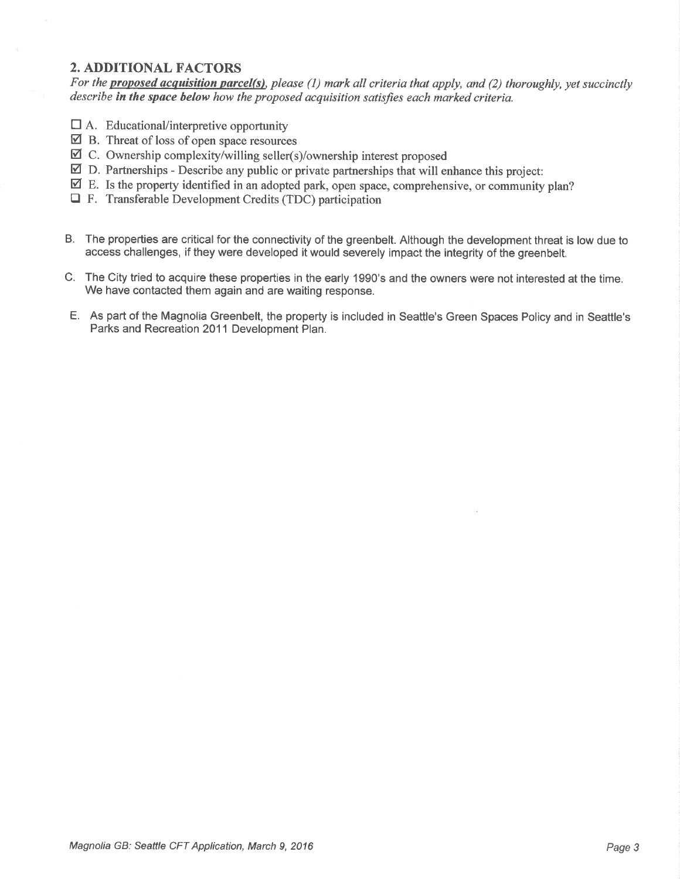## 2. ADDITIONAL FACTORS

For the **proposed acquisition parcel(s)**, please (1) mark all criteria that apply, and (2) thoroughly, yet succinctly describe in the space below how the proposed acquisition satisfies each marked criteria.

- $\Box$  A. Educational/interpretive opportunity
- $\boxtimes$  B. Threat of loss of open space resources
- $\overrightarrow{a}$  C. Ownership complexity/willing seller(s)/ownership interest proposed
- $\boxtimes$  D. Partnerships Describe any public or private partnerships that will enhance this project:
- $\overline{\mathbf{Z}}$  E. Is the property identified in an adopted park, open space, comprehensive, or community plan?
- $\Box$  F. Transferable Development Credits (TDC) participation
- B. The properties are critical for the connectivity of the greenbelt. Although the development threat is low due to access challenges, if they were developed it would severely impact the integrity of the greenbelt.
- C. The City tried to acquire these properties in the early 1990's and the owners were not interested at the time. We have contacted them again and are waiting response.
- E. As part of the Magnolia Greenbelt, the property is included in Seattle's Green Spaces Policy and in Seattle's Parks and Recreation 2011 Development Plan.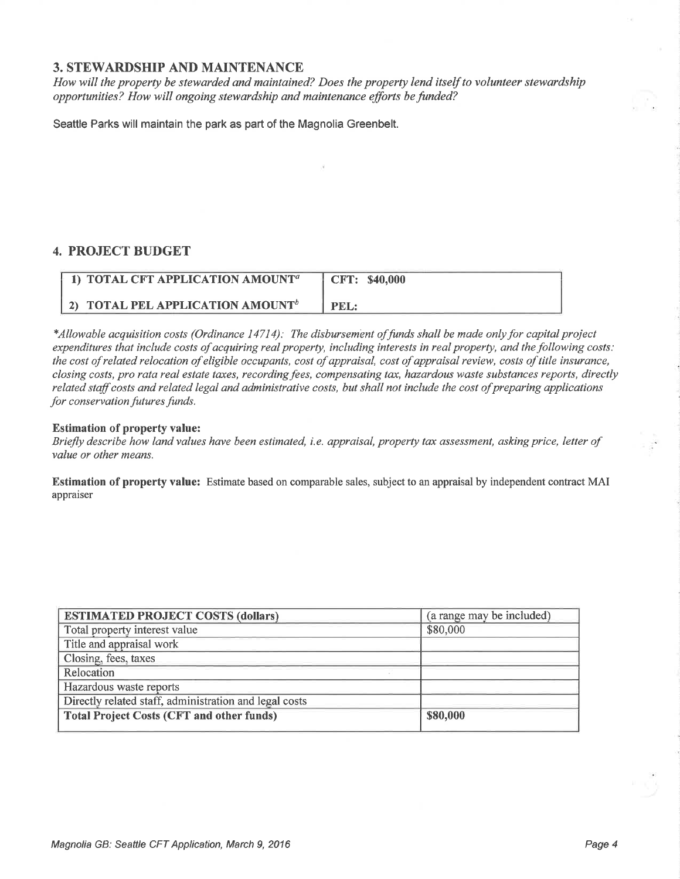### 3. STEWARDSHIP AND MAINTENANCE

How will the property be stewarded and maintained? Does the property lend itself to volunteer stewardship opportunities? How will ongoing stewardship and maintenance efforts be funded?

Seattle Parks will maintain the park as part of the Magnolia Greenbelt.

### 4. PROJECT BUDGET

| 1) TOTAL CFT APPLICATION AMOUNT <sup>a</sup> | CFT: \$40,000 |
|----------------------------------------------|---------------|
| 2) TOTAL PEL APPLICATION AMOUNT <sup>b</sup> | PEL:          |

\*Allowable acquisition costs (Ordinance 14714): The disbursement offunds shall be made onlyfor capital project expenditures that include costs of acquiring real property, including interests in real property, and the following costs: the cost of related relocation of eligible occupants, cost of appraisal, cost of appraisal review, costs of title ínsurance, closing costs, pro rata real estate taxes, recording fees, compensating tax, hazardous waste substances reports, directly related staff costs and related legal and administrative costs, but shall not include the cost of preparing applications for conservation futures funds.

### Estimation of property value:

Briefly describe how land values have been estimated, i.e. appraisal, property tax assessment, asking price, letter of value or other means.

Estimation of property value: Estimate based on comparable sales, subject to an appraisal by independent contract MAI appraiser

| <b>ESTIMATED PROJECT COSTS (dollars)</b>               | (a range may be included) |
|--------------------------------------------------------|---------------------------|
| Total property interest value                          | \$80,000                  |
| Title and appraisal work                               |                           |
| Closing, fees, taxes                                   |                           |
| Relocation                                             |                           |
| Hazardous waste reports                                |                           |
| Directly related staff, administration and legal costs |                           |
| <b>Total Project Costs (CFT and other funds)</b>       | \$80,000                  |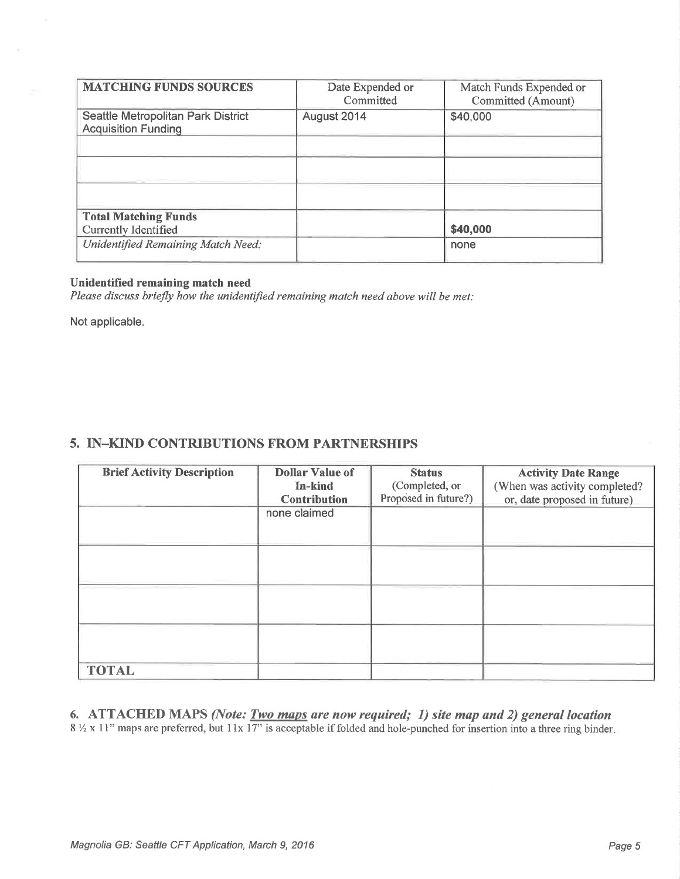| <b>MATCHING FUNDS SOURCES</b>                                    | Date Expended or<br>Committed | Match Funds Expended or<br>Committed (Amount) |
|------------------------------------------------------------------|-------------------------------|-----------------------------------------------|
| Seattle Metropolitan Park District<br><b>Acquisition Funding</b> | August 2014                   | \$40,000                                      |
|                                                                  |                               |                                               |
|                                                                  |                               |                                               |
| <b>Total Matching Funds</b><br><b>Currently Identified</b>       |                               | \$40,000                                      |
| Unidentified Remaining Match Need:                               |                               | none                                          |

#### Unidentified remaining match need

Please discuss briefly how the unidentified remaining match need above will be met:

Not applicable.

### 5. IN\_KIND CONTRIBUTIONS FROM PARTNERSHIPS

| <b>Brief Activity Description</b> | <b>Dollar Value of</b><br>In-kind<br><b>Contribution</b> | <b>Status</b><br>(Completed, or<br>Proposed in future?) | <b>Activity Date Range</b><br>(When was activity completed?<br>or, date proposed in future) |
|-----------------------------------|----------------------------------------------------------|---------------------------------------------------------|---------------------------------------------------------------------------------------------|
|                                   | none claimed                                             |                                                         |                                                                                             |
|                                   |                                                          |                                                         |                                                                                             |
|                                   |                                                          |                                                         |                                                                                             |
|                                   |                                                          |                                                         |                                                                                             |
| <b>TOTAL</b>                      |                                                          |                                                         |                                                                                             |

6. ATTACHED MAPS (Note: **Two maps** are now required; 1) site map and 2) general location  $8\frac{1}{2}$  x 11" maps are preferred, but 11x 17" is acceptable if folded and hole-punched for insertion into a three ring binder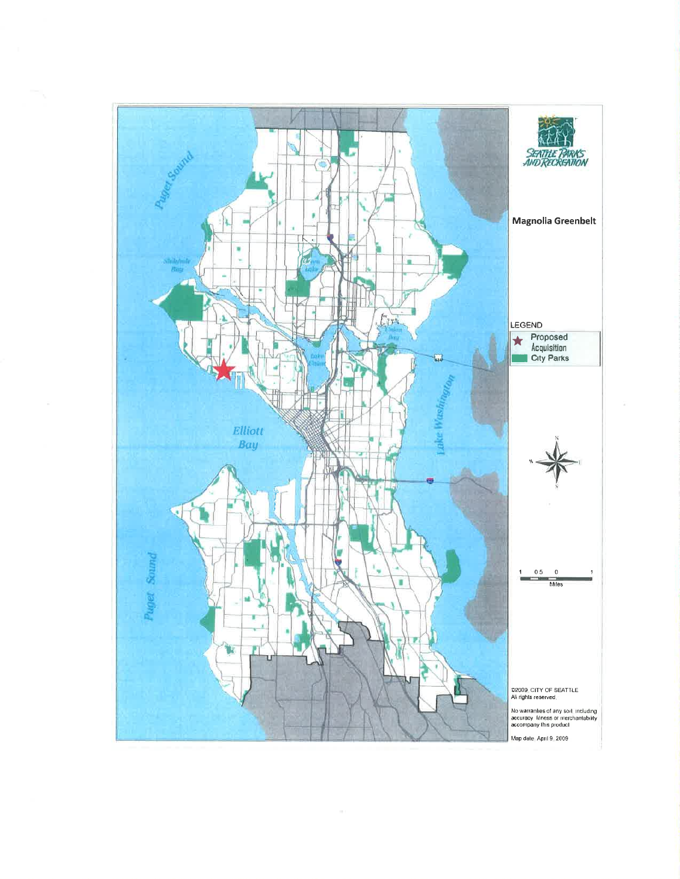